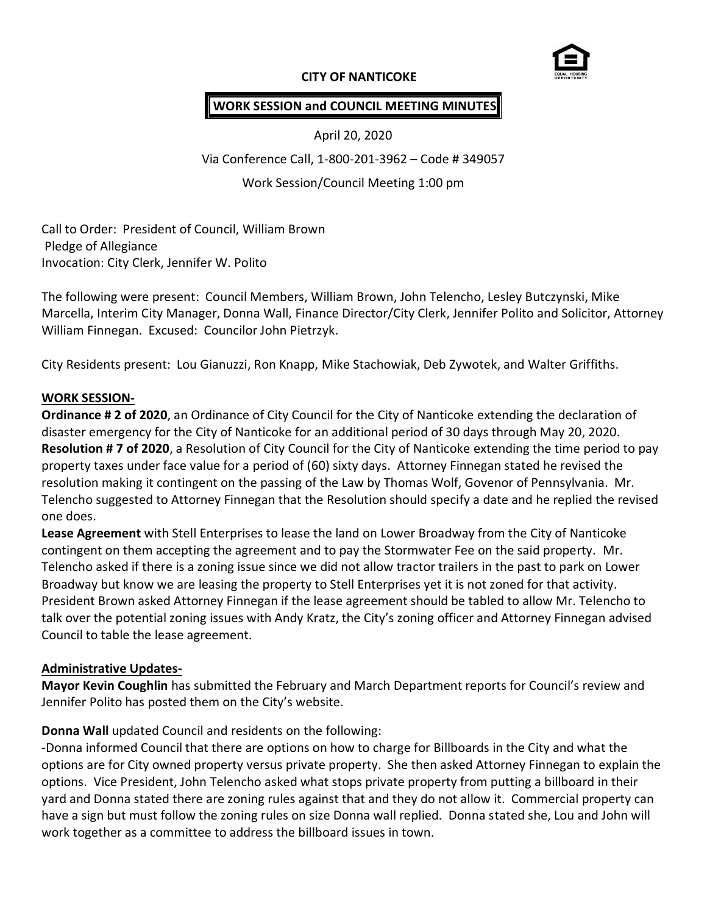## **CITY OF NANTICOKE**



## **WORK SESSION and COUNCIL MEETING MINUTES**

April 20, 2020

Via Conference Call, 1-800-201-3962 – Code # 349057

Work Session/Council Meeting 1:00 pm

Call to Order: President of Council, William Brown Pledge of Allegiance Invocation: City Clerk, Jennifer W. Polito

The following were present: Council Members, William Brown, John Telencho, Lesley Butczynski, Mike Marcella, Interim City Manager, Donna Wall, Finance Director/City Clerk, Jennifer Polito and Solicitor, Attorney William Finnegan. Excused: Councilor John Pietrzyk.

City Residents present: Lou Gianuzzi, Ron Knapp, Mike Stachowiak, Deb Zywotek, and Walter Griffiths.

#### **WORK SESSION-**

**Ordinance # 2 of 2020**, an Ordinance of City Council for the City of Nanticoke extending the declaration of disaster emergency for the City of Nanticoke for an additional period of 30 days through May 20, 2020. **Resolution # 7 of 2020**, a Resolution of City Council for the City of Nanticoke extending the time period to pay property taxes under face value for a period of (60) sixty days. Attorney Finnegan stated he revised the resolution making it contingent on the passing of the Law by Thomas Wolf, Govenor of Pennsylvania. Mr. Telencho suggested to Attorney Finnegan that the Resolution should specify a date and he replied the revised one does.

**Lease Agreement** with Stell Enterprises to lease the land on Lower Broadway from the City of Nanticoke contingent on them accepting the agreement and to pay the Stormwater Fee on the said property. Mr. Telencho asked if there is a zoning issue since we did not allow tractor trailers in the past to park on Lower Broadway but know we are leasing the property to Stell Enterprises yet it is not zoned for that activity. President Brown asked Attorney Finnegan if the lease agreement should be tabled to allow Mr. Telencho to talk over the potential zoning issues with Andy Kratz, the City's zoning officer and Attorney Finnegan advised Council to table the lease agreement.

#### **Administrative Updates-**

**Mayor Kevin Coughlin** has submitted the February and March Department reports for Council's review and Jennifer Polito has posted them on the City's website.

#### **Donna Wall** updated Council and residents on the following:

-Donna informed Council that there are options on how to charge for Billboards in the City and what the options are for City owned property versus private property. She then asked Attorney Finnegan to explain the options. Vice President, John Telencho asked what stops private property from putting a billboard in their yard and Donna stated there are zoning rules against that and they do not allow it. Commercial property can have a sign but must follow the zoning rules on size Donna wall replied. Donna stated she, Lou and John will work together as a committee to address the billboard issues in town.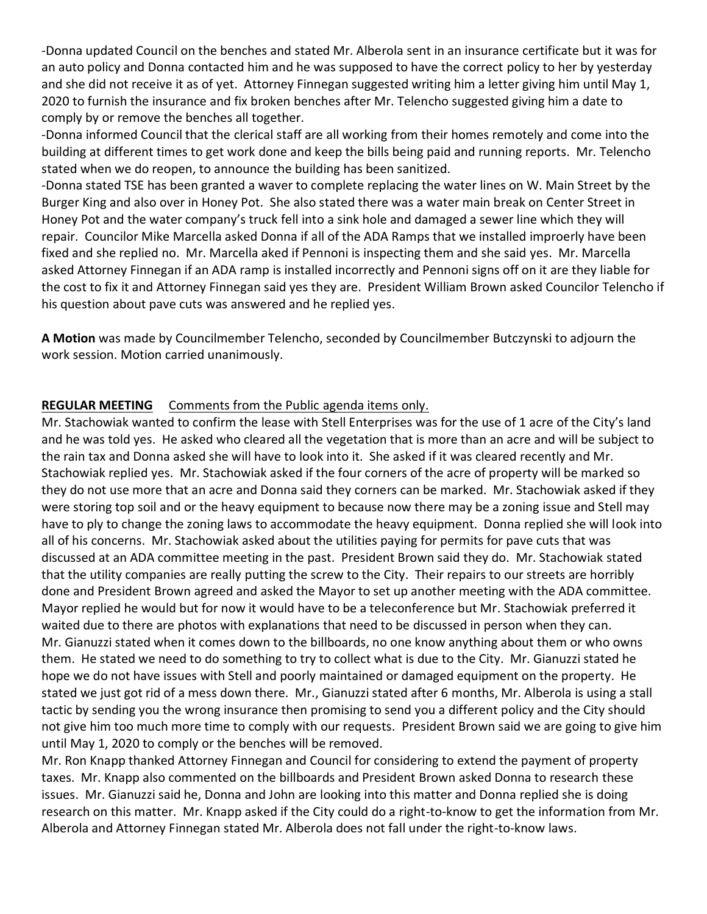-Donna updated Council on the benches and stated Mr. Alberola sent in an insurance certificate but it was for an auto policy and Donna contacted him and he was supposed to have the correct policy to her by yesterday and she did not receive it as of yet. Attorney Finnegan suggested writing him a letter giving him until May 1, 2020 to furnish the insurance and fix broken benches after Mr. Telencho suggested giving him a date to comply by or remove the benches all together.

-Donna informed Council that the clerical staff are all working from their homes remotely and come into the building at different times to get work done and keep the bills being paid and running reports. Mr. Telencho stated when we do reopen, to announce the building has been sanitized.

-Donna stated TSE has been granted a waver to complete replacing the water lines on W. Main Street by the Burger King and also over in Honey Pot. She also stated there was a water main break on Center Street in Honey Pot and the water company's truck fell into a sink hole and damaged a sewer line which they will repair. Councilor Mike Marcella asked Donna if all of the ADA Ramps that we installed improerly have been fixed and she replied no. Mr. Marcella aked if Pennoni is inspecting them and she said yes. Mr. Marcella asked Attorney Finnegan if an ADA ramp is installed incorrectly and Pennoni signs off on it are they liable for the cost to fix it and Attorney Finnegan said yes they are. President William Brown asked Councilor Telencho if his question about pave cuts was answered and he replied yes.

**A Motion** was made by Councilmember Telencho, seconded by Councilmember Butczynski to adjourn the work session. Motion carried unanimously.

## **REGULAR MEETING** Comments from the Public agenda items only.

Mr. Stachowiak wanted to confirm the lease with Stell Enterprises was for the use of 1 acre of the City's land and he was told yes. He asked who cleared all the vegetation that is more than an acre and will be subject to the rain tax and Donna asked she will have to look into it. She asked if it was cleared recently and Mr. Stachowiak replied yes. Mr. Stachowiak asked if the four corners of the acre of property will be marked so they do not use more that an acre and Donna said they corners can be marked. Mr. Stachowiak asked if they were storing top soil and or the heavy equipment to because now there may be a zoning issue and Stell may have to ply to change the zoning laws to accommodate the heavy equipment. Donna replied she will look into all of his concerns. Mr. Stachowiak asked about the utilities paying for permits for pave cuts that was discussed at an ADA committee meeting in the past. President Brown said they do. Mr. Stachowiak stated that the utility companies are really putting the screw to the City. Their repairs to our streets are horribly done and President Brown agreed and asked the Mayor to set up another meeting with the ADA committee. Mayor replied he would but for now it would have to be a teleconference but Mr. Stachowiak preferred it waited due to there are photos with explanations that need to be discussed in person when they can. Mr. Gianuzzi stated when it comes down to the billboards, no one know anything about them or who owns them. He stated we need to do something to try to collect what is due to the City. Mr. Gianuzzi stated he hope we do not have issues with Stell and poorly maintained or damaged equipment on the property. He stated we just got rid of a mess down there. Mr., Gianuzzi stated after 6 months, Mr. Alberola is using a stall tactic by sending you the wrong insurance then promising to send you a different policy and the City should not give him too much more time to comply with our requests. President Brown said we are going to give him until May 1, 2020 to comply or the benches will be removed.

Mr. Ron Knapp thanked Attorney Finnegan and Council for considering to extend the payment of property taxes. Mr. Knapp also commented on the billboards and President Brown asked Donna to research these issues. Mr. Gianuzzi said he, Donna and John are looking into this matter and Donna replied she is doing research on this matter. Mr. Knapp asked if the City could do a right-to-know to get the information from Mr. Alberola and Attorney Finnegan stated Mr. Alberola does not fall under the right-to-know laws.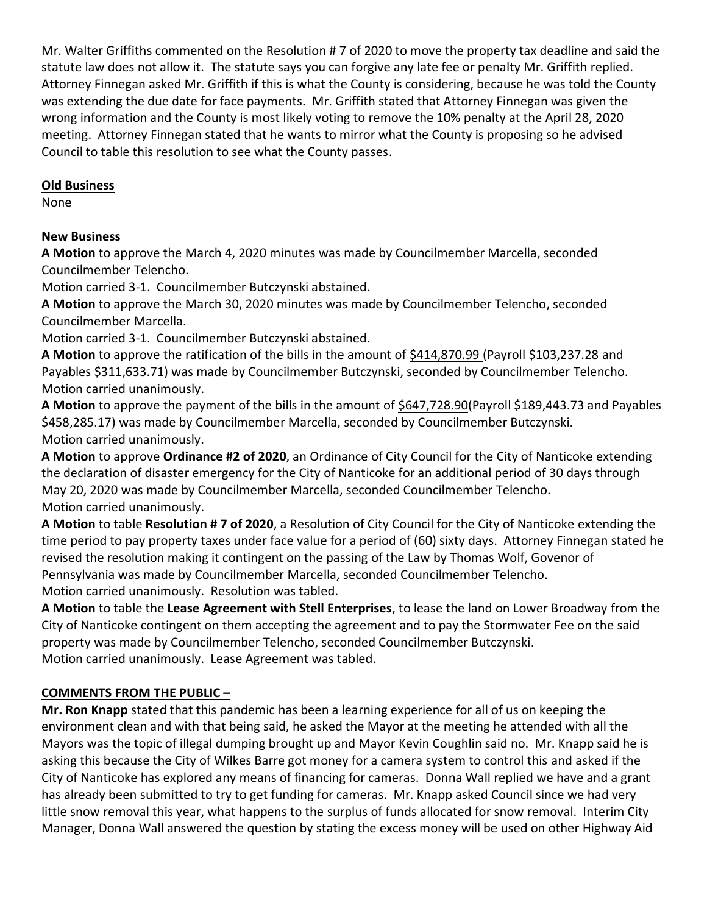Mr. Walter Griffiths commented on the Resolution # 7 of 2020 to move the property tax deadline and said the statute law does not allow it. The statute says you can forgive any late fee or penalty Mr. Griffith replied. Attorney Finnegan asked Mr. Griffith if this is what the County is considering, because he was told the County was extending the due date for face payments. Mr. Griffith stated that Attorney Finnegan was given the wrong information and the County is most likely voting to remove the 10% penalty at the April 28, 2020 meeting. Attorney Finnegan stated that he wants to mirror what the County is proposing so he advised Council to table this resolution to see what the County passes.

## **Old Business**

None

# **New Business**

**A Motion** to approve the March 4, 2020 minutes was made by Councilmember Marcella, seconded Councilmember Telencho.

Motion carried 3-1. Councilmember Butczynski abstained.

**A Motion** to approve the March 30, 2020 minutes was made by Councilmember Telencho, seconded Councilmember Marcella.

Motion carried 3-1. Councilmember Butczynski abstained.

**A Motion** to approve the ratification of the bills in the amount of \$414,870.99 (Payroll \$103,237.28 and Payables \$311,633.71) was made by Councilmember Butczynski, seconded by Councilmember Telencho. Motion carried unanimously.

A Motion to approve the payment of the bills in the amount of \$647,728.90(Payroll \$189,443.73 and Payables \$458,285.17) was made by Councilmember Marcella, seconded by Councilmember Butczynski. Motion carried unanimously.

**A Motion** to approve **Ordinance #2 of 2020**, an Ordinance of City Council for the City of Nanticoke extending the declaration of disaster emergency for the City of Nanticoke for an additional period of 30 days through May 20, 2020 was made by Councilmember Marcella, seconded Councilmember Telencho. Motion carried unanimously.

**A Motion** to table **Resolution # 7 of 2020**, a Resolution of City Council for the City of Nanticoke extending the time period to pay property taxes under face value for a period of (60) sixty days. Attorney Finnegan stated he revised the resolution making it contingent on the passing of the Law by Thomas Wolf, Govenor of Pennsylvania was made by Councilmember Marcella, seconded Councilmember Telencho. Motion carried unanimously. Resolution was tabled.

**A Motion** to table the **Lease Agreement with Stell Enterprises**, to lease the land on Lower Broadway from the City of Nanticoke contingent on them accepting the agreement and to pay the Stormwater Fee on the said property was made by Councilmember Telencho, seconded Councilmember Butczynski. Motion carried unanimously. Lease Agreement was tabled.

# **COMMENTS FROM THE PUBLIC –**

**Mr. Ron Knapp** stated that this pandemic has been a learning experience for all of us on keeping the environment clean and with that being said, he asked the Mayor at the meeting he attended with all the Mayors was the topic of illegal dumping brought up and Mayor Kevin Coughlin said no. Mr. Knapp said he is asking this because the City of Wilkes Barre got money for a camera system to control this and asked if the City of Nanticoke has explored any means of financing for cameras. Donna Wall replied we have and a grant has already been submitted to try to get funding for cameras. Mr. Knapp asked Council since we had very little snow removal this year, what happens to the surplus of funds allocated for snow removal. Interim City Manager, Donna Wall answered the question by stating the excess money will be used on other Highway Aid